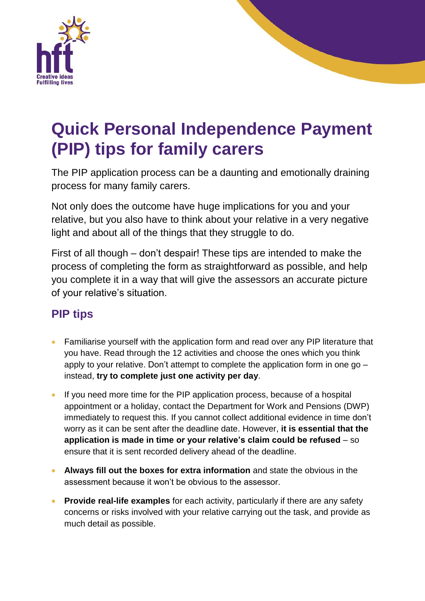

## **Quick Personal Independence Payment (PIP) tips for family carers**

The PIP application process can be a daunting and emotionally draining process for many family carers.

Not only does the outcome have huge implications for you and your relative, but you also have to think about your relative in a very negative light and about all of the things that they struggle to do.

First of all though – don't despair! These tips are intended to make the process of completing the form as straightforward as possible, and help you complete it in a way that will give the assessors an accurate picture of your relative's situation.

## **PIP tips**

- Familiarise yourself with the application form and read over any PIP literature that you have. Read through the 12 activities and choose the ones which you think apply to your relative. Don't attempt to complete the application form in one go – instead, **try to complete just one activity per day**.
- If you need more time for the PIP application process, because of a hospital appointment or a holiday, contact the Department for Work and Pensions (DWP) immediately to request this. If you cannot collect additional evidence in time don't worry as it can be sent after the deadline date. However, **it is essential that the application is made in time or your relative's claim could be refused** – so ensure that it is sent recorded delivery ahead of the deadline.
- **Always fill out the boxes for extra information** and state the obvious in the assessment because it won't be obvious to the assessor.
- **Provide real-life examples** for each activity, particularly if there are any safety concerns or risks involved with your relative carrying out the task, and provide as much detail as possible.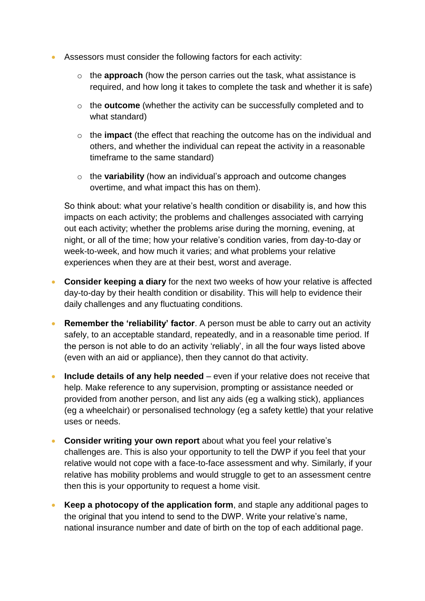- Assessors must consider the following factors for each activity:
	- o the **approach** (how the person carries out the task, what assistance is required, and how long it takes to complete the task and whether it is safe)
	- o the **outcome** (whether the activity can be successfully completed and to what standard)
	- o the **impact** (the effect that reaching the outcome has on the individual and others, and whether the individual can repeat the activity in a reasonable timeframe to the same standard)
	- o the **variability** (how an individual's approach and outcome changes overtime, and what impact this has on them).

So think about: what your relative's health condition or disability is, and how this impacts on each activity; the problems and challenges associated with carrying out each activity; whether the problems arise during the morning, evening, at night, or all of the time; how your relative's condition varies, from day-to-day or week-to-week, and how much it varies; and what problems your relative experiences when they are at their best, worst and average.

- **Consider keeping a diary** for the next two weeks of how your relative is affected day-to-day by their health condition or disability. This will help to evidence their daily challenges and any fluctuating conditions.
- **Remember the 'reliability' factor**. A person must be able to carry out an activity safely, to an acceptable standard, repeatedly, and in a reasonable time period. If the person is not able to do an activity 'reliably', in all the four ways listed above (even with an aid or appliance), then they cannot do that activity.
- **Include details of any help needed** even if your relative does not receive that help. Make reference to any supervision, prompting or assistance needed or provided from another person, and list any aids (eg a walking stick), appliances (eg a wheelchair) or personalised technology (eg a safety kettle) that your relative uses or needs.
- **Consider writing your own report** about what you feel your relative's challenges are. This is also your opportunity to tell the DWP if you feel that your relative would not cope with a face-to-face assessment and why. Similarly, if your relative has mobility problems and would struggle to get to an assessment centre then this is your opportunity to request a home visit.
- **Keep a photocopy of the application form**, and staple any additional pages to the original that you intend to send to the DWP. Write your relative's name, national insurance number and date of birth on the top of each additional page.